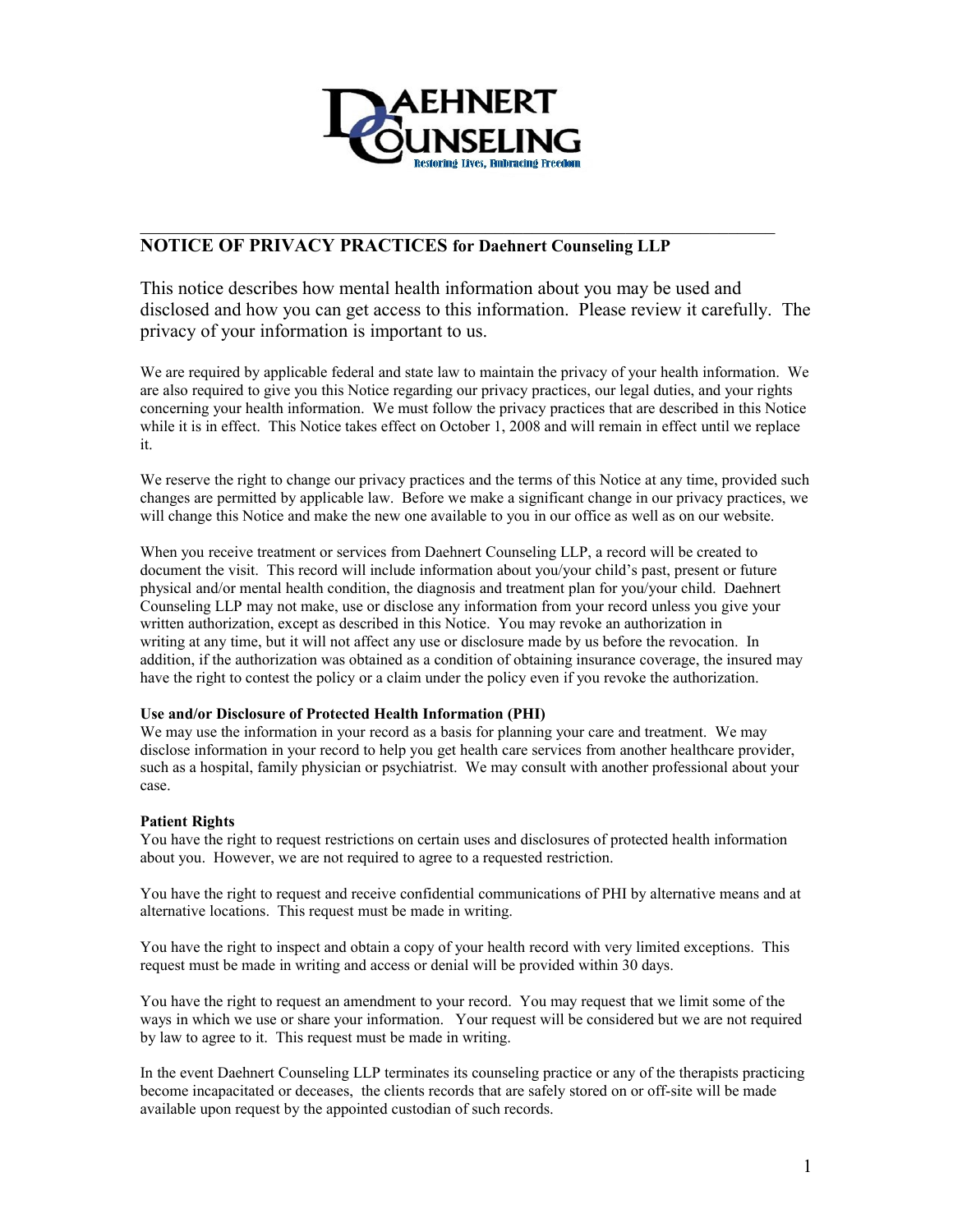

# **NOTICE OF PRIVACY PRACTICES for Daehnert Counseling LLP**

This notice describes how mental health information about you may be used and disclosed and how you can get access to this information. Please review it carefully. The privacy of your information is important to us.

We are required by applicable federal and state law to maintain the privacy of your health information. We are also required to give you this Notice regarding our privacy practices, our legal duties, and your rights concerning your health information. We must follow the privacy practices that are described in this Notice while it is in effect. This Notice takes effect on October 1, 2008 and will remain in effect until we replace it.

We reserve the right to change our privacy practices and the terms of this Notice at any time, provided such changes are permitted by applicable law. Before we make a significant change in our privacy practices, we will change this Notice and make the new one available to you in our office as well as on our website.

When you receive treatment or services from Daehnert Counseling LLP, a record will be created to document the visit. This record will include information about you/your child's past, present or future physical and/or mental health condition, the diagnosis and treatment plan for you/your child. Daehnert Counseling LLP may not make, use or disclose any information from your record unless you give your written authorization, except as described in this Notice. You may revoke an authorization in writing at any time, but it will not affect any use or disclosure made by us before the revocation. In addition, if the authorization was obtained as a condition of obtaining insurance coverage, the insured may have the right to contest the policy or a claim under the policy even if you revoke the authorization.

## **Use and/or Disclosure of Protected Health Information (PHI)**

We may use the information in your record as a basis for planning your care and treatment. We may disclose information in your record to help you get health care services from another healthcare provider, such as a hospital, family physician or psychiatrist. We may consult with another professional about your case.

## **Patient Rights**

You have the right to request restrictions on certain uses and disclosures of protected health information about you. However, we are not required to agree to a requested restriction.

You have the right to request and receive confidential communications of PHI by alternative means and at alternative locations. This request must be made in writing.

You have the right to inspect and obtain a copy of your health record with very limited exceptions. This request must be made in writing and access or denial will be provided within 30 days.

You have the right to request an amendment to your record. You may request that we limit some of the ways in which we use or share your information. Your request will be considered but we are not required by law to agree to it. This request must be made in writing.

In the event Daehnert Counseling LLP terminates its counseling practice or any of the therapists practicing become incapacitated or deceases, the clients records that are safely stored on or off-site will be made available upon request by the appointed custodian of such records.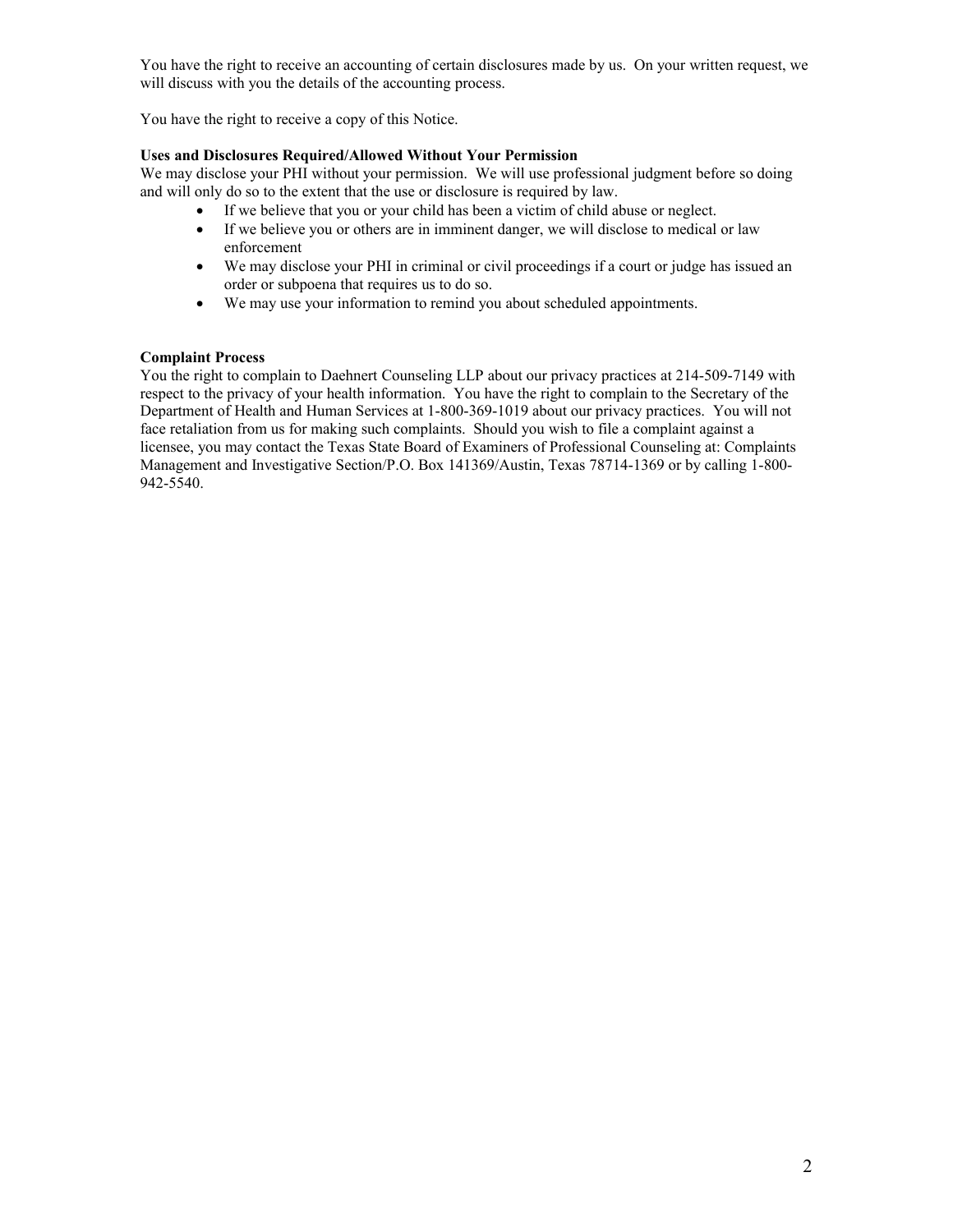You have the right to receive an accounting of certain disclosures made by us. On your written request, we will discuss with you the details of the accounting process.

You have the right to receive a copy of this Notice.

## **Uses and Disclosures Required/Allowed Without Your Permission**

We may disclose your PHI without your permission. We will use professional judgment before so doing and will only do so to the extent that the use or disclosure is required by law.

- If we believe that you or your child has been a victim of child abuse or neglect.
- If we believe you or others are in imminent danger, we will disclose to medical or law enforcement
- We may disclose your PHI in criminal or civil proceedings if a court or judge has issued an order or subpoena that requires us to do so.
- We may use your information to remind you about scheduled appointments.

#### **Complaint Process**

You the right to complain to Daehnert Counseling LLP about our privacy practices at 214-509-7149 with respect to the privacy of your health information. You have the right to complain to the Secretary of the Department of Health and Human Services at 1-800-369-1019 about our privacy practices. You will not face retaliation from us for making such complaints. Should you wish to file a complaint against a licensee, you may contact the Texas State Board of Examiners of Professional Counseling at: Complaints Management and Investigative Section/P.O. Box 141369/Austin, Texas 78714-1369 or by calling 1-800- 942-5540.